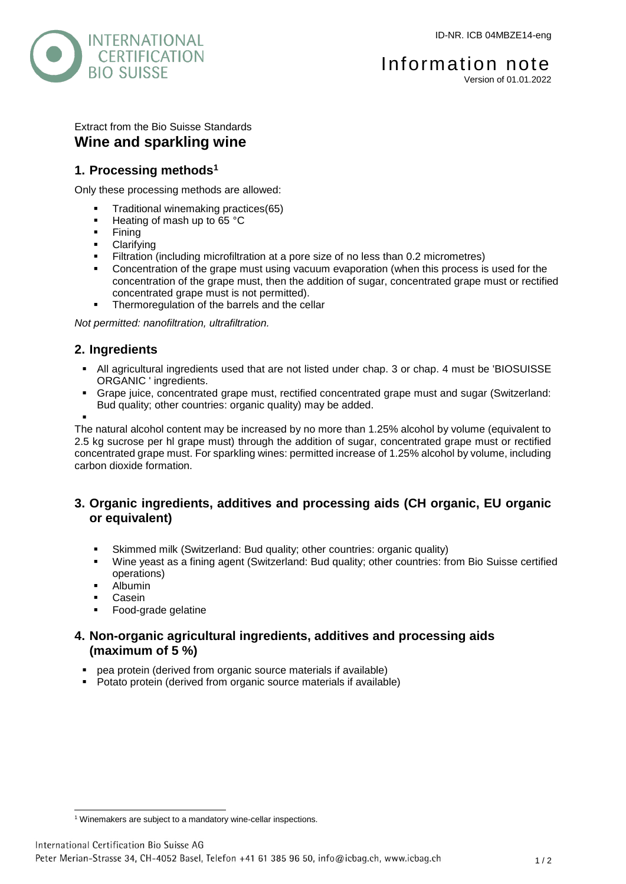

# Extract from the Bio Suisse Standards **Wine and sparkling wine**

# **1. Processing methods<sup>1</sup>**

Only these processing methods are allowed:

- Traditional winemaking practices(65)
- $\blacksquare$  Heating of mash up to 65 °C
- $\blacksquare$  Fining
- **-** Clarifying
- Filtration (including microfiltration at a pore size of no less than 0.2 micrometres)
- Concentration of the grape must using vacuum evaporation (when this process is used for the concentration of the grape must, then the addition of sugar, concentrated grape must or rectified concentrated grape must is not permitted).
- Thermoregulation of the barrels and the cellar

*Not permitted: nanofiltration, ultrafiltration.*

# **2. Ingredients**

- All agricultural ingredients used that are not listed under chap. 3 or chap. 4 must be 'BIOSUISSE ORGANIC ' ingredients.
- Grape juice, concentrated grape must, rectified concentrated grape must and sugar (Switzerland: Bud quality; other countries: organic quality) may be added.

. The natural alcohol content may be increased by no more than 1.25% alcohol by volume (equivalent to 2.5 kg sucrose per hl grape must) through the addition of sugar, concentrated grape must or rectified concentrated grape must. For sparkling wines: permitted increase of 1.25% alcohol by volume, including carbon dioxide formation.

### **3. Organic ingredients, additives and processing aids (CH organic, EU organic or equivalent)**

- Skimmed milk (Switzerland: Bud quality; other countries: organic quality)
- Wine yeast as a fining agent (Switzerland: Bud quality; other countries: from Bio Suisse certified operations)
- **-** Albumin
- **Casein**
- Food-grade gelatine

# **4. Non-organic agricultural ingredients, additives and processing aids (maximum of 5 %)**

- pea protein (derived from organic source materials if available)
- Potato protein (derived from organic source materials if available)

l <sup>1</sup> Winemakers are subject to a mandatory wine-cellar inspections.